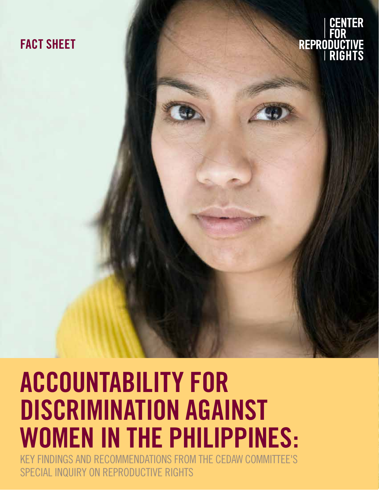# **FACT SHEET**

CENTER REPRODUCTIVE

# **ACCOUNTABILITY FOR DISCRIMINATION AGAINST WOMEN IN THE PHILIPPINES:**

**ACCOUNTABILITY FOR DISCRIMINATION AGAINST WOMEN IN THE PHILIPPINES** 1 KEY FINDINGS AND RECOMMENDATIONS FROM THE CEDAW COMMITTEE'S SPECIAL INQUIRY ON REPRODUCTIVE RIGHTS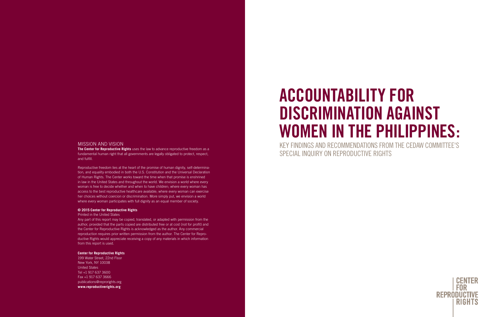### MISSION AND VISION

**The Center for Reproductive Rights** uses the law to advance reproductive freedom as a fundamental human right that all governments are legally obligated to protect, respect, and fulfill.

Reproductive freedom lies at the heart of the promise of human dignity, self-determination, and equality embodied in both the U.S. Constitution and the Universal Declaration of Human Rights. The Center works toward the time when that promise is enshrined in law in the United States and throughout the world. We envision a world where every woman is free to decide whether and when to have children; where every woman has access to the best reproductive healthcare available; where every woman can exercise her choices without coercion or discrimination. More simply put, we envision a world where every woman participates with full dignity as an equal member of society.

#### **© 2015 Center for Reproductive Rights**

#### Printed in the United States

Any part of this report may be copied, translated, or adapted with permission from the author, provided that the parts copied are distributed free or at cost (not for profit) and the Center for Reproductive Rights is acknowledged as the author. Any commercial reproduction requires prior written permission from the author. The Center for Reproductive Rights would appreciate receiving a copy of any materials in which information from this report is used.

#### **Center for Reproductive Rights**

199 Water Street, 22nd Floor New York, NY 10038 United States Tel +1 917 637 3600 Fax +1 917 637 3666 publications@reprorights.org **www.reproductiverights.org**

# **ACCOUNTABILITY FOR DISCRIMINATION AGAINST WOMEN IN THE PHILIPPINES:** KEY FINDINGS AND RECOMMENDATIONS FROM THE CEDAW COMMITTEE'S SPECIAL INQUIRY ON REPRODUCTIVE RIGHTS

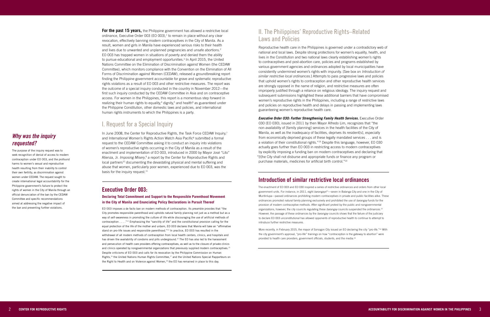# II. The Philippines' Reproductive Rights–Related Laws and Policies

Reproductive health care in the Philippines is governed under a contradictory web of national and local laws. Despite strong protections for women's equality, health, and lives in the Constitution and two national laws clearly establishing women's rights to contraceptives and post-abortion care, policies and programs established by various government agencies and ordinances adopted by local municipalities have consistently undermined women's rights with impunity. [See box on *Introduction of similar restrictive local ordinances*.] Attempts to pass progressive laws and policies that uphold women's rights to contraception and other reproductive health services are strongly opposed in the name of religion, and restrictive measures are often improperly justified through a reliance on religious ideology. The inquiry request and subsequent submissions highlighted these additional barriers that have compromised women's reproductive rights in the Philippines, including a range of restrictive laws and policies on reproductive health and delays in passing and implementing laws guaranteeing women's reproductive health care.

*Executive Order 030: Further Strengthening Family Health Services.* Executive Order 030 (EO 030), issued in 2011 by then Mayor Alfredo Lim, recognizes that "the non-availability of [family planning] services in the health facilities of the City of Manila, as well as the inadequacy of facilities, deprives its resident[s], especially from economically deprived groups of these legally mandated services . . . and is a violation of their constitutional rights."19 Despite this language, however, EO 030 actually goes further than EO 003 in restricting access to modern contraceptives by explicitly imposing a funding ban on modern contraceptives and declaring that "[t]he City shall not disburse and appropriate funds or finance any program or purchase materials, medicines for artificial birth control."20

### **Introduction of similar restrictive local ordinances**

**For the past 15 years,** the Philippine government has allowed a restrictive local ordinance, Executive Order 003 (EO 003), 1 to remain in place without any clear revocation, effectively banning modern contraceptives in the City of Manila. As a result, women and girls in Manila have experienced serious risks to their health and lives due to unwanted and unplanned pregnancies and unsafe abortions. 2 EO 003 has trapped women in situations of poverty and denied them the ability to pursue educational and employment opportunities. 3 In April 2015, the United Nations Committee on the Elimination of Discrimination against Women (the CEDAW Committee), which monitors compliance with the Convention on the Elimination of All Forms of Discrimination against Women (CEDAW), released a groundbreaking report finding the Philippine government accountable for grave and systematic reproductive rights violations as a result of EO 003 and other restrictive measures. The report was the outcome of a special inquiry conducted in the country in November 2012—the first such inquiry conducted by the CEDAW Committee in Asia and on contraceptive access. For women in the Philippines, this report is a momentous step forward in realizing their human rights to equality,<sup>4</sup> dignity,<sup>5</sup> and health<sup>6</sup> as guaranteed under the Philippine Constitution, other domestic laws and policies, and international human rights instruments to which the Philippines is a party.

> The enactment of EO 003 and EO 030 inspired a series of restrictive ordinances and orders from other local government units. For instance, in 2011, eight *barangays*21—seven in Balanga City and one in the City of Muntinlupa—passed ordinances prohibiting modern contraceptives in private and public facilities alike. These ordinances promoted natural family planning exclusively and prohibited the use of *barangay* funds for the provision of modern contraceptive methods. After significant protest by the public and nongovernmental organizations, however, the city councils regulating these *barangay* councils suspended the ordinances.<sup>22</sup> However, the passage of these ordinances by the *barangay* councils shows that the failure of the judiciary to declare EO 003 unconstitutional has allowed opponents of reproductive health to continue to attempt to introduce further restrictive measures.

EO 003 imposes a de facto ban on modern methods of contraception. Its preamble provides that "the City promotes responsible parenthood and upholds natural family planning not just as a method but as a way of self-awareness in promoting the culture of life while discouraging the use of artificial methods of contraception . . . ."12 Emphasizing the "sanctity of life" and the constitutional provision calling for the equal protection of the life of the mother and unborn, EO 003 declares that Manila will take an "affirmative stand on pro-life issues and responsible parenthood."<sup>13</sup> In practice, EO 003 has resulted in the withdrawal of all modern methods of contraception from local health centers, clinics, and hospitals and has driven the availability of condoms and pills underground.<sup>14</sup> The EO has also led to the harassment and persecution of health care providers offering contraceptives, as well as to the closure of private clinics and clinics operated by nongovernmental organizations that previously supplied modern contraceptives.<sup>15</sup> Despite criticisms of EO 003 and calls for its revocation by the Philippine Commission on Human Rights,<sup>16</sup> the United Nations Human Rights Committee,<sup>17</sup> and the United Nations Special Rapporteurs on the Right to Health and on Violence against Women,<sup>18</sup> the EO has remained in place to this day.

More recently, in February 2015, the mayor of Sorsogon City issued an EO declaring the city "pro-life."23 With the city government's approval, "pro-life" trainings on how "contraception is the gateway to abortion" were provided to health care providers, government officials, students, and the media.24

# I. Request for a Special Inquiry

In June 2008, the Center for Reproductive Rights, the Task Force CEDAW Inquiry,<sup>7</sup> and International Women's Rights Action Watch Asia Pacific<sup>8</sup> submitted a formal request to the CEDAW Committee asking it to conduct an inquiry into violations of women's reproductive rights occurring in the City of Manila as a result of the enactment and implementation of EO 003, introduced in 2000 by Mayor José "Lito" Atienza, Jr. *Imposing Misery*,<sup>9</sup> a report by the Center for Reproductive Rights and local partners<sup>10</sup> documenting the devastating physical and mental suffering and abuse that women, particularly poor women, experienced due to EO 003, was the basis for the inquiry request. $11$ 

### **Executive Order 003:**

### **Declaring Total Commitment and Support to the Responsible Parenthood Movement in the City of Manila and Enunciating Policy Declarations in Pursuit Thereof**

# *Why was the inquiry requested?*

The purpose of the inquiry request was to seek recognition of denial of access to modern contraception under EO 003, and the profound harms to women's sexual and reproductive health resulting from their inability to control their own fertility, as discrimination against women under CEDAW. The request sought to create international legal accountability for the Philippine government's failure to protect the rights of women in the City of Manila through an official denunciation of the ban by the CEDAW Committee and specific recommendations aimed at addressing the negative impact of the ban and preventing further violations.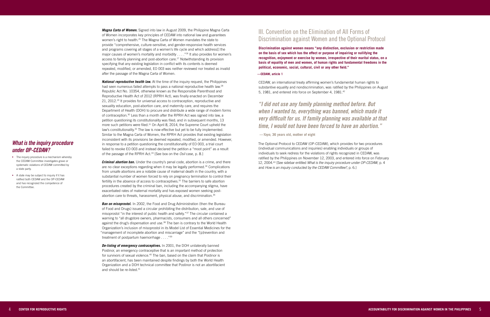# III. Convention on the Elimination of All Forms of Discrimination against Women and the Optional Protocol

**Discrimination against women means "any distinction, exclusion or restriction made on the basis of sex which has the effect or purpose of impairing or nullifying the recognition, enjoyment or exercise by women, irrespective of their marital status, on a basis of equality of men and women, of human rights and fundamental freedoms in the political, economic, social, cultural, civil or any other field."** 

#### **—CEDAW, article 1**

CEDAW, an international treaty affirming women's fundamental human rights to substantive equality and nondiscrimination, was ratified by the Philippines on August 5, 1981, and entered into force on September 4, 1981.42

The Optional Protocol to CEDAW (OP-CEDAW), which provides for two procedures (individual communications and inquiries) enabling individuals or groups of individuals to seek redress for the violations of rights recognized in CEDAW, was ratified by the Philippines on November 12, 2003, and entered into force on February 12, 2004.43 [See sidebar entitled *What is the inquiry procedure under OP-CEDAW*, p. 4 and *How is an inquiry conducted by the CEDAW Committee?*, p. 6.]

**National reproductive health law.** At the time of the inquiry request, the Philippines had seen numerous failed attempts to pass a national reproductive health law.<sup>28</sup> Republic Act No. 10354, otherwise known as the Responsible Parenthood and Reproductive Health Act of 2012 (RPRH Act), was finally enacted on December 21, 2012.29 It provides for universal access to contraception, reproductive and sexuality education, post-abortion care, and maternity care, and requires the Department of Health (DOH) to procure and distribute a wide range of modern forms of contraception.30 Less than a month after the RPRH Act was signed into law, a petition questioning its constitutionality was filed; and in subsequent months, 13 more such petitions were filed.<sup>31</sup> On April 8, 2014, the Supreme Court upheld the law's constitutionality. $32$  The law is now effective but yet to be fully implemented. Similar to the Magna Carta of Women, the RPRH Act provides that existing legislation inconsistent with its provisions be deemed repealed, modified, or amended. However, in response to a petition questioning the constitutionality of EO 003, a trial court failed to revoke EO 003 and instead declared the petition a "moot point" as a result of the passage of the RPRH Act.33 [See box on the *Osil* case, p. 8.]

*Criminal abortion ban.* Under the country's penal code, abortion is a crime, and there are no clear exceptions regarding when it may be legally performed.<sup>34</sup> Complications from unsafe abortions are a notable cause of maternal death in the country, with a substantial number of women forced to rely on pregnancy termination to control their fertility in the absence of access to contraceptives.<sup>35</sup> The barriers to safe abortion procedures created by the criminal ban, including the accompanying stigma, have exacerbated rates of maternal mortality and has exposed women seeking postabortion care to threats, harassment, physical abuse, and discrimination.<sup>36</sup>

*Magna Carta of Women.* Signed into law in August 2009, the Philippine Magna Carta of Women incorporates key principles of CEDAW into national law and guarantees women's right to health.<sup>25</sup> The Magna Carta of Women mandates the state to provide "comprehensive, culture-sensitive, and gender-responsive health services and programs covering all stages of a women's life cycle and which address[] the major causes of women's mortality and morbidity  $\dots$  . "<sup>26</sup> It also provides for women's access to family planning and post-abortion care.27 Notwithstanding its provision specifying that any existing legislation in conflict with its contents is deemed repealed, modified, or amended, EO 003 was neither reviewed nor treated as invalid after the passage of the Magna Carta of Women.

**Ban on misoprostol.** In 2002, the Food and Drug Administration (then the Bureau of Food and Drugs) issued a circular prohibiting the distribution, sale, and use of misoprostol "in the interest of public health and safety."37 The circular contained a warning to "all drugstore owners, pharmacists, consumers and all others concerned" against the drug's dispensation and use.<sup>38</sup> The ban is contrary to the World Health Organization's inclusion of misoprostol in its Model List of Essential Medicines for the "management of incomplete abortion and miscarriage" and the "[p]revention and treatment of postpartum haemorrhage . . . ."39

*De-listing of emergency contraceptives.* In 2001, the DOH unilaterally banned Postinor, an emergency contraceptive that is an important method of protection for survivors of sexual violence.<sup>40</sup> The ban, based on the claim that Postinor is an abortifacient, has been maintained despite findings by both the World Health Organization and a DOH technical committee that Postinor is not an abortifacient and should be re-listed.<sup>41</sup>

### *What is the inquiry procedure under OP-CEDAW?*

- The inquiry procedure is a mechanism whereby the CEDAW Committee investigates grave or systematic violations of CEDAW committed by a state party.
- A state may be subject to inquiry if it has ratified both CEDAW and the OP-CEDAW and has recognized the competence of the Committee.

*"I did not use any family planning method before. But when I wanted to, everything was banned, which made it very difficult for us. If family planning was available at that time, I would not have been forced to have an abortion."*

**—***Yayo***, 36 years old, mother of eight**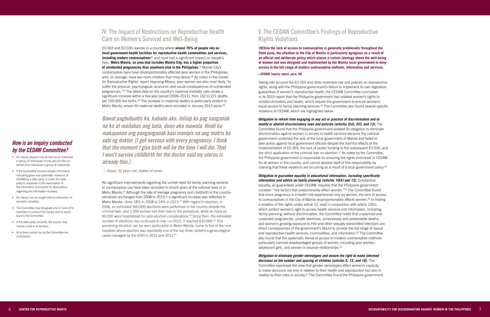EO 003 and EO 030 operate in a country where **almost 70% of people rely on local government health facilities for reproductive health commodities and services, including modern contraceptives**<sup>44</sup> and have had a significant impact on people's lives. **Metro Manila, an area that includes Manila City, has a higher proportion of unintended pregnancies than anywhere else in the Philippines** . 45 Manila City's contraceptive bans have disproportionately affected poor women in the Philippines, who, on average, have two more children than they desire.<sup>46</sup> As noted in the Center for Reproductive Rights' report *Imposing Misery*, poor women are also most likely "to suffer the physical, psychological, economic and social consequences of unintended pregnancies."47 The latest data on the country's maternal mortality ratio shows a significant increase within a five-year period (2006–2011), from 162 to 221 deaths per 100,000 live births.48 The increase in maternal deaths is particularly evident in Metro Manila, where 50 maternal deaths were recorded in January 2012 alone.<sup>49</sup>

# IV. The Impact of Restrictions on Reproductive Health Care on Women's Survival and Well-Being

*Obligation to refrain from engaging in any act or practice of discrimination and to modify or abolish discriminatory laws and policies (articles 2[d], 2[f], and 12).* The Committee found that the Philippine government violated its obligation to eliminate discrimination against women in access to health services because the national government condoned the acts of the local government of Manila and failed to take action against local government officials despite the harmful effects of the implementation of EO 003, the lack of public funding in the subsequent EO 030, and the strict application of the criminal ban on abortion.<sup>57</sup> As noted by the Committee, the Philippine government is responsible for ensuring the rights enshrined in CEDAW for all women in the country, and cannot absolve itself of this responsibility by claiming that these violations are occurring as a result of a local government policy.<sup>58</sup>

No significant improvements regarding the unmet need for family planning services or contraceptive use have been recorded in recent years at the national level or in Metro Manila.<sup>50</sup> Although the rate of teenage pregnancy and childbirth in the country remained unchanged from 2008 to 2013,<sup>51</sup> a significant increase was reflected in Metro Manila—from 18% in 2008 to 24% in 2013.52 With regard to abortion, in 2008, an estimated 560,000 abortions were performed in the country despite the criminal ban, and 1,000 women lost their lives to the procedure, while as many as 90,000 were hospitalized for post-abortion complications.53 Since then, the estimated number of abortions has continued to rise—in 2012, it reached 610,000.54 This worsening situation can be seen particularly in Metro Manila, home to five of the nine hospitals where abortion was reportedly one of the top three obstetrics-gynecological cases managed by the DOH in 2012 and 2013.55

*information and advice on family planning (articles 10[h] and 12).* Substantive equality, as guaranteed under CEDAW, requires that the Philippine government consider "risk factors that predominantly affect women."59 The Committee found that since pregnancy is a health risk experienced only by women, the lack of access to contraceptives in the City of Manila disproportionately affects women. $60$  In finding a violation of the rights under article 12, read in conjunction with article 10(h), which protect women's right to access health services and information, including family planning, without discrimination, the Committee noted that unplanned and unwanted pregnancies, unsafe abortions, unnecessary and preventable deaths, and women's growing exposure to HIV and other sexually transmitted infections are direct consequences of the government's failure to provide the full range of sexual and reproductive health services, commodities, and information.<sup>61</sup> The Committee also found that the systematic denial of access to modern contraceptive methods particularly harmed disadvantaged groups of women, including poor women, adolescent girls, and women in abusive relationships.<sup>62</sup>

# V. The CEDAW Committee's Findings of Reproductive Rights Violations

**[W]hile the lack of access to contraception is generally problematic throughout the State party, the situation in the City of Manila is particularly egregious as a result of an official and deliberate policy which places a certain ideology above the well-being of women and was designed and implemented by the Manila local government to deny access to the full range of modern contraceptive methods, information and services.** 

#### **—CEDAW inquiry report, para. 48**

*Obligation to eliminate gender stereotypes and ensure the right to make informed decisions on the number and spacing of children (articles 5, 12, and 16).* The Committee expressed the view that gender stereotypes affect women's capacity to make decisions not only in relation to their health and reproduction but also in relation to their roles in society.<sup>63</sup> The Committee found the Philippine government

Taking into account the EO 003 and other restrictive law and policies on reproductive rights, along with the Philippine government's failure to implement its own legislative guarantees of women's reproductive health, the CEDAW Committee concluded in its 2015 report that the Philippine government had violated women's rights to nondiscrimination and health, which require the government to ensure women's equal access to family planning services.56 The Committee also found several specific violations of CEDAW, which are highlighted below.

*Obligation to guarantee equality in educational information, including specifically* 

*Bawat pagbubuntis ko, kabado ako. Iniisip ko pag nanganak na ko at mailabas ang bata, doon ako mawala. Hindi ko makayanan ang panganganak kasi manipis na ang matris ko sabi ng doktor. [I get nervous with every pregnancy. I think that the moment I give birth will be the time I will die. That I won't survive childbirth for the doctor said my uterus is already thin.]* 

**—***Susan,* **32 years old, mother of seven**

# *How is an inquiry conducted by the CEDAW Committee?*

- An inquiry request may be filed by an individual or group of individuals; it may also be filed on behalf of an individual or group of individuals.
- If the Committee receives reliable information indicating grave and systematic violations of CEDAW by a state party, it invites the state party to cooperate in the examination of the information and submit its observations regarding the information received.
- An inquiry can be sought without exhaustion of domestic remedies.
- The Committee may designate one or more of its members to conduct the inquiry and to report back to the Committee.
- If the state party consents, the inquiry may involve a visit to its territory.
- All actions carried out by the Committee are confidential.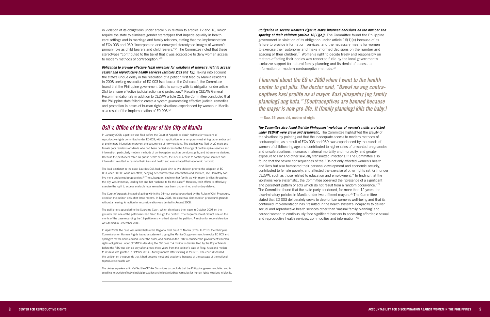*Obligation to provide effective legal remedies for violations of women's right to access sexual and reproductive health services (articles 2[c] and 12).* Taking into account the state's undue delay in the resolution of a petition first filed by Manila residents in 2008 seeking revocation of EO 003 [see box on the Osil case.], the Committee found that the Philippine government failed to comply with its obligation under article 2(c) to ensure effective judicial action and protection.<sup>66</sup> Recalling CEDAW General Recommendation 28 in addition to CEDAW article 2(c), the Committee concluded that the Philippine state failed to create a system guaranteeing effective judicial remedies and protection in cases of human rights violations experienced by women in Manila as a result of the implementation of E0 003.<sup>67</sup>

in violation of its obligations under article 5 in relation to articles 12 and 16, which require the state to eliminate gender stereotypes that impede equality in health care settings and in marriage and family relations, stating that the implementation of EOs 003 and 030 "incorporated and conveyed stereotyped images of women's primary role as child bearers and child rearers."64 The Committee noted that these stereotypes "contributed to the belief that it was acceptable to deny women access to modern methods of contraception."65

In January 2008, a petition was filed before the Court of Appeals to obtain redress for violations of reproductive rights committed under EO 003, with an application for a temporary restraining order and/or writ of preliminary injunction to prevent the occurrence of new violations*.* The petition was filed by 20 male and female poor residents of Manila who had been denied access to the full range of contraceptive services and information, particularly modern methods of contraception such as condoms, pills, and intrauterine devices. Because the petitioners relied on public health services, the lack of access to contraceptive services and information resulted in harm to their lives and health and exacerbated their economic hardship.

### *Osil v. Office of the Mayor of the City of Manila*

*Obligation to secure women's right to make informed decisions on the number and*  **spacing of their children (article 16[1][e]).** The Committee found the Philippine government in violation of its obligation under article 16(1)(e) because of its failure to provide information, services, and the necessary means for women to exercise their autonomy and make informed decisions on the number and spacing of their children.<sup>71</sup> Women's right to decide freely and responsibly on matters affecting their bodies was rendered futile by the local government's exclusive support for natural family planning and its denial of access to information on modern contraceptive methods.<sup>72</sup>

The lead petitioner in the case, Lourdes Osil, had given birth to two children prior to the adoption of EO 003; after EO 003 went into effect, denying her contraceptive information and services, she ultimately had five more unplanned pregnancies.<sup>68</sup> The subsequent strain on her family, as with many families throughout the city, was immense, leading her and her husband to file this case.<sup>69</sup> However, their efforts to effectively exercise the right to access available legal remedies have been undermined and unduly delayed.

*The Committee also found that the Philippines' violations of women's rights protected under CEDAW were grave and systematic.* The Committee highlighted the gravity of the violations by pointing out that the inadequate access to modern methods of contraception, as a result of EOs 003 and 030, was experienced by thousands of women of childbearing age and contributed to higher rates of unwanted pregnancies and unsafe abortions, increased maternal mortality and morbidity, and greater exposure to HIV and other sexually transmitted infections.<sup>73</sup> The Committee also found that the severe consequences of the EOs not only affected women's health and lives but also hampered their personal development and economic security, contributed to female poverty, and affected the exercise of other rights set forth under CEDAW, such as those related to education and employment.74 In finding that the violations were systematic, the Committee observed the "presence of a significant and persistent pattern of acts which do not result from a random occurrence."75 The Committee found that the state party condoned, for more than 12 years, the discriminatory policies in Manila under two different mayors.<sup>76</sup> The Committee stated that EO 003 deliberately seeks to deprioritize women's well-being and that its continued implementation has "resulted in the health system's incapacity to deliver sexual and reproductive health services other than 'natural family planning' and caused women to continuously face significant barriers to accessing affordable sexual and reproductive health services, commodities and information."77

The Court of Appeals, instead of acting within the 24-hour period prescribed by the Rules of Civil Procedure, acted on the petition only after three months. In May 2008, the case was dismissed on procedural grounds without a hearing. A motion for reconsideration was denied in August 2008.

The petitioners appealed to the Supreme Court, which dismissed their case in October 2008 on the grounds that one of the petitioners had failed to sign the petition. The Supreme Court did not rule on the merits of the case regarding the 19 petitioners who had signed the petition. A motion for reconsideration was denied in December 2008.

In April 2009, the case was refiled before the Regional Trial Court of Manila (RTC). In 2010, the Philippine Commission on Human Rights issued a statement urging the Manila City government to revoke EO 003 and apologize for the harm caused under the order, and called on the RTC to consider the government's human rights obligations under CEDAW in deciding the *Osil* case.70 A motion to dismiss filed by the City of Manila before the RTC was denied only after almost three years from the petition's date of filing. A second motion to dismiss was granted in October 2014—twenty months after its filing in the RTC. The court dismissed the petition on the grounds that it had become moot and academic because of the passage of the national reproductive health law.

The delays experienced in *Osil* led the CEDAW Committee to conclude that the Philippine government failed and is unwilling to provide effective judicial protection and effective judicial remedies for human rights violations in Manila.

*I learned about the EO in 2000 when I went to the health center to get pills. The doctor said, "Bawal na ang contra ceptives kasi prolife na si mayor. Kasi pinapatay [ng family planning] ang bata." [Contraceptives are banned because the mayor is now pro-life. It (family planning) kills the baby.]* 

**—***Tina,* **36 years old, mother of eight**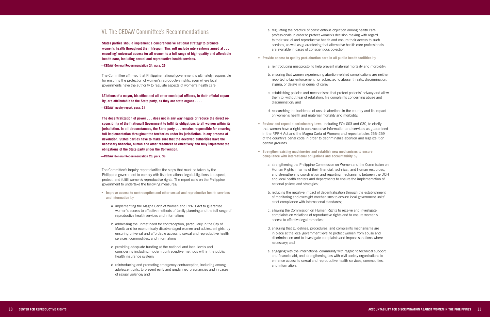- e. regulating the practice of conscientious objection among health care professionals in order to protect women's decision making with regard to their sexual and reproductive health and ensure their access to such services, as well as guaranteeing that alternative health care professionals are available in cases of conscientious objection.
- **• Provide access to quality post-abortion care in all public health facilities** by
	- a. reintroducing misoprostol to help prevent maternal mortality and morbidity;
	- b. ensuring that women experiencing abortion-related complications are neither reported to law enforcement nor subjected to abuse, threats, discrimination, stigma, or delays in or denial of care;
	- c. establishing policies and mechanisms that protect patients' privacy and allow them to, without fear of retaliation, file complaints concerning abuse and discrimination; and
	- d. researching the incidence of unsafe abortions in the country and its impact on women's health and maternal mortality and morbidity.
- Review and repeal discriminatory laws, including EOs 003 and 030, to clarify that women have a right to contraceptive information and services as guaranteed in the RPRH Act and the Magna Carta of Women; and repeal articles 256–259 of the country's penal code in order to decriminalize abortion and legalize it on certain grounds.
- **• Strengthen existing machineries and establish new mechanisms to ensure compliance with international obligations and accountability** by
	- a. strengthening the Philippine Commission on Women and the Commission on Human Rights in terms of their financial, technical, and human resources, and strengthening coordination and reporting mechanisms between the DOH and local health centers and departments to ensure the implementation of national polices and strategies;
	- b. reducing the negative impact of decentralization through the establishment of monitoring and oversight mechanisms to ensure local government units' strict compliance with international standards;
	- c. allowing the Commission on Human Rights to receive and investigate complaints on violations of reproductive rights and to ensure women's access to effective legal remedies;
	- d. ensuring that guidelines, procedures, and complaints mechanisms are in place at the local government level to protect women from abuse and discrimination and to investigate complaints and impose sanctions where necessary; and
	- e. engaging with the international community with regard to technical support and financial aid, and strengthening ties with civil society organizations to enhance access to sexual and reproductive health services, commodities, and information.

## VI. The CEDAW Committee's Recommendations

**States parties should implement a comprehensive national strategy to promote women's health throughout their lifespan. This will include interventions aimed at . . . ensur[ing] universal access for all women to a full range of high-quality and affordable health care, including sexual and reproductive health services.** 

### **—CEDAW General Recommendation 24, para. 29**

The Committee affirmed that Philippine national government is ultimately responsible for ensuring the protection of women's reproductive rights, even where local governments have the authority to regulate aspects of women's health care.

### **[A]ctions of a mayor, his office and all other municipal officers, in their official capac ity, are attributable to the State party, as they are state organs . . . .**

**—CEDAW inquiry report, para. 21** 

**The decentralization of power . . . does not in any way negate or reduce the direct re sponsibility of the [national] Government to fulfil its obligations to all women within its jurisdiction. In all circumstances, the State party . . . remains responsible for ensuring full implementation throughout the territories under its jurisdiction. In any process of devolution, States parties have to make sure that the devolved authorities have the necessary financial, human and other resources to effectively and fully implement the obligations of the State party under the Convention.** 

### **—CEDAW General Recommendation 28, para. 39**

The Committee's inquiry report clarifies the steps that must be taken by the Philippine government to comply with its international legal obligations to respect, protect, and fulfill women's reproductive rights. The report calls on the Philippine government to undertake the following measures:

- **• Improve access to contraception and other sexual and reproductive health services and information** by
	- a. implementing the Magna Carta of Women and RPRH Act to guarantee women's access to effective methods of family planning and the full range of reproductive health services and information;
	- b. addressing the unmet need for contraception, particularly in the City of Manila and for economically disadvantaged women and adolescent girls, by ensuring universal and affordable access to sexual and reproductive health services, commodities, and information;
	- c. providing adequate funding at the national and local levels and considering including modern contraceptive methods within the public health insurance system;
	- d. reintroducing and promoting emergency contraception, including among adolescent girls, to prevent early and unplanned pregnancies and in cases of sexual violence; and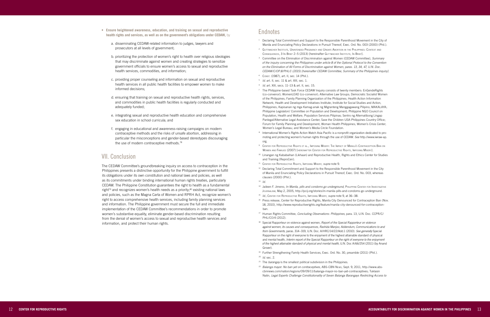- <sup>1</sup> Declaring Total Commitment and Support to the Responsible Parenthood Movement in the City of Manila and Enunciating Policy Declarations in Pursuit Thereof, Exec. Ord. No. 003 (2000) (Phil.).
- $^2$  Guttmacher Institute, Unintended Pregnancy and Unsafe Abortion in the Philippines: Context and i i CONSEQUENCES, 3 IN BRIEF 2-5 (2013) [hereinafter GUTTMACHER INSTITUTE, IN BRIEF].
- <sup>3</sup> Committee on the Elimination of Discrimination against Women (CEDAW Committee), *Summary of the inquiry concerning the Philippines under article 8 of the Optional Protocol to the Convention on the Elimination of All Forms of Discrimination against Women, paras. 13, 34, 47, U.N. Doc. CEDAW/C/OP.8/PHL/1 (2015) [hereinafter CEDAW Committee, Summary of the Philippines inquiry].*
- 4 Const. (1987), art. II, sec. 14 (Phil.).
- <sup>5</sup> *Id.* art. II, sec. 11 & art. XIII, sec. 1.
- <sup>6</sup> *Id.* art. XIII, secs. 11–13 & art. II, sec. 15.
- <sup>7</sup> The Philippine-based Task Force CEDAW Inquiry consists of twenty members: EnGendeRights (co-convenor); WomenLEAD (co-convenor); Alternative Law Groups; Democratic Socialist Women of the Philippines; Family Planning Organization of the Philippines; Health Action Information Network; Health and Development Initiatives Institute; Institute for Social Studies and Action, Philippines; Kapisanan ng mga Kamag-anak ng Migranteng Manggagawang Pilipino; MAKALAYA; Philippine Legislators' Committee on Population and Development; Philippine NGO Council on Population, Health and Welfare; Population Services Pilipinas; Sentro ng Alternatibong Lingap Panlegal/Alternative Legal Assistance Center; Save the Children USA-Philippines Country Office; Forum for Family Planning and Development; Woman Health Philippines; Women's Crisis Center; Women's Legal Bureau; and Women's Media Circle Foundation.
- <sup>8</sup> International Women's Rights Action Watch Asia Pacific is a nonprofit organization dedicated to promoting and protecting women's human rights through the use of CEDAW. *See* http://www.iwraw-ap. org.
- <sup>9</sup> Center for Reproductive Rights et al., Imposing Misery: The Impact of Manila's Contraception Ban on i g Women and Families (2007) [hereinafter Center for Reproductive Rights, Imposing Misery]. i i
- <sup>10</sup> Linangan ng Kababaihan (Likhaan) and Reproductive Health, Rights and Ethics Center for Studies and Training (ReproCen).
- <sup>11</sup> CENTER FOR REPRODUCTIVE RIGHTS, IMPOSING MISERY, *supra* note 9. i g
- <sup>12</sup> Declaring Total Commitment and Support to the Responsible Parenthood Movement in the City of Manila and Enunciating Policy Declarations in Pursuit Thereof, Exec. Ord. No. 003, whereas clauses (2000) (Phil.).
- $13$  *Id.*
- <sup>14</sup> Jaileen F. Jimeno, *In Manila, pills and condoms go underground*, Pніцірріме Семтек ғок Інуеѕтісатіуе i Journal ism, May 2, 2005, http://pcij.org/stories/in-manila-pills-and-condoms-go-underground.
- <sup>15</sup> Id.; CENTER FOR REPRODUCTIVE RIGHTS, IMPOSING MISERY, *supra* note 9, at 36–38. i g
- <sup>16</sup> Press release, Center for Reproductive Rights, Manila City Denounced for Contraception Ban (Nov. 18, 2010), http://www.reproductiverights.org/feature/manila-city-denounced-for-contraceptionban.
- <sup>17</sup> Human Rights Committee, *Concluding Observations: Philippines*, para. 13, U.N. Doc. CCPR/C/ PHL/CO/4 (2012).
- <sup>18</sup> Special Rapporteur on violence against women, *Report of the Special Rapporteur on violence against women, its causes and consequences, Rashida Manjoo, Addendum, Communications to and from Governments*, paras. 314–319, U.N. Doc. A/HRC/14/22/Add.1 (2010). *See generally* Special Rapporteur on the right of everyone to the enjoyment of the highest attainable standard of physical and mental health, *Interim report of the Special Rapporteur on the right of everyone to the enjoyment of the highest attainable standard of physical and mental health*, U.N. Doc A/66/254 (2011) (by Anand Grover).
- <sup>19</sup> Further Strengthening Family Health Services, Exec. Ord. No. 30, preamble (2011) (Phil.). <sup>20</sup> *Id*. sec. 2.
- <sup>21</sup> The *barangay* is the smallest political subdivision in the Philippines.
- <sup>22</sup> Balanga mayor: No ban yet on contraceptives, ABS-CBN News, Sept. 9, 2011, http://www.absw cbnnews.com/nation/regions/09/09/11/balanga-mayor-no-ban-yet-contraceptives; Tuklasin Natin, *Legal Experts Challenge Constitutionality of Seven Balanga Barangays Restricting Access to*
- **• Ensure heightened awareness, education, and training on sexual and reproductive health rights and services, as well as on the government's obligations under CEDAW,** by
	- a. disseminating CEDAW-related information to judges, lawyers and prosecutors at all levels of government;
	- b. prioritizing the protection of women's right to health over religious ideologies that may discriminate against women and creating strategies to sensitize government officials to ensure women's access to sexual and reproductive health services, commodities, and information;
	- c. providing proper counseling and information on sexual and reproductive health services in all public health facilities to empower women to make informed decisions;
	- d. ensuring that training on sexual and reproductive health rights, services, and commodities in public health facilities is regularly conducted and adequately funded;
	- e. integrating sexual and reproductive health education and comprehensive sex education in school curricula; and
	- f. engaging in educational and awareness-raising campaigns on modern contraceptive methods and the risks of unsafe abortion, addressing in particular the misconceptions and gender-based stereotypes discouraging the use of modern contraceptive methods.<sup>78</sup>

p g

## VII. Conclusion

The CEDAW Committee's groundbreaking inquiry on access to contraception in the Philippines presents a distinctive opportunity for the Philippine government to fulfill its obligations under its own constitution and national laws and policies, as well as its commitments under binding international human rights treaties, particularly CEDAW. The Philippine Constitution guarantees the right to health as a fundamental right<sup>79</sup> and recognizes women's health needs as a priority;<sup>80</sup> existing national laws and policies, such as the Magna Carta of Women and RPRH Act, recognize women's right to access comprehensive health services, including family planning services and information. The Philippine government must secure the full and immediate implementation of the CEDAW Committee's recommendations in order to promote women's substantive equality, eliminate gender-based discrimination resulting from the denial of women's access to sexual and reproductive health services and information, and protect their human rights.

### **Endnotes**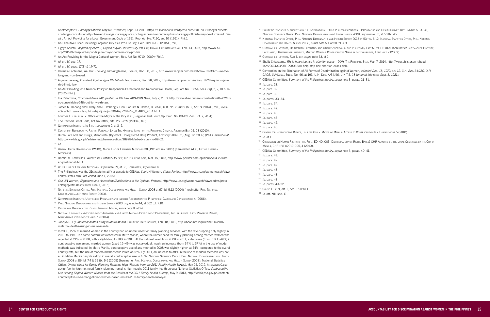- <sup>51</sup> Philippine Statistics Authority and ICF International, 2013 Philippines National Demographic and Health Survey: Key Findings 5 (2014); National Statistics Office, Phil. National Demographic and Health Survey 2008, *supra* note 50, at 50 tbl. 4.9.
- <sup>52</sup> National Statistics Office, Phil. National Demographic and Health Survey 2013 at 53 tbl. 5.12; National Statistics Office, Phil. National Demographic and Health Survey 2008, *supra* note 50, at 50 tbl. 4.9.
- 53 GUTTMACHER INSTITUTE, UNINTENDED PREGNANCY AND UNSAFE ABORTION IN THE PHILIPPINES, FACT SHEET 1 (2013) [hereinafter GUTTMACHER INSTITUTE, Fact Sheet]; Guttmacher Institute, Meeting Women's Contraceptive Needs in the Philippines, 1 In Brief 2 (2009).
- <sup>54</sup> Guttmacher Institute, Fact Sheet, *supra* note 53, at 1.
- 55 Sheila Crisostomo, RH to help stop rise in abortion cases DOH, THE PHILIPPINE STAR, Mar. 7, 2014, http://www.philstar.com/headlines/2014/03/07/1298062/rh-help-stop-rise-abortion-cases-doh.
- <sup>56</sup> Convention on the Elimination of All Forms of Discrimination against Women, *adopted Dec. 18, 1979, art. 12, G.A. Res. 34/180, U.N. GAOR, 34*th Sess., Supp. No. 46, at 193, U.N. Doc. A/34/46, U.N.T.S. 13 (*entered into force Sept. 3, 1981).*
- <sup>57</sup> CEDAW Committee, *Summary of the Philippines inquiry, supra* note 3, paras. 21–31.
- <sup>58</sup> *Id.* para. 23.
- <sup>59</sup> *Id.* para. 32.
- <sup>60</sup> *Id.* para. 32.
- <sup>61</sup> *Id.* paras. 33–34.
- <sup>62</sup> *Id.* para. 34.
- <sup>63</sup> *Id.* para. 42.
- <sup>64</sup> *Id.* para. 43.
- <sup>65</sup> *Id.* para. 43.
- <sup>66</sup> *Id.* para. 45.
- <sup>67</sup> *Id.* para. 45.
- 68 CENTER FOR REPRODUCTIVE RIGHTS, LOURDES OSIL V. MAYOR OF MANILA: ACCESS TO CONTRACEPTION IS A HUMAN RIGHT 5 (2010).
- <sup>69</sup> *Id.* at 1.
- <sup>70</sup> Commission on Human Rights of the Phil., EO NO. 003: Discriminatory or Rights Based? CHR Advisory on the Local Ordinance by the City of Manila, CHR (IV) A2010-005, 4 (2010).
- <sup>71</sup> CEDAW Committee, *Summary of the Philippines inquiry, supra* note 3, paras. 40–41.
- <sup>72</sup> *Id.* para. 41.
- <sup>73</sup> *Id.* para. 47.

- <sup>75</sup> *Id.* para. 48.
- <sup>76</sup> *Id.* para. 48.
- <sup>77</sup> *Id.* para. 48.
- <sup>78</sup> *Id.* paras. 49–52.
- 
- <sup>79</sup> Const. (1987), art. II, sec. 15 (Phil.).
- <sup>80</sup> *Id*. art. XIII, sec. 11.

- <sup>23</sup> An Executive Order Declaring Sorgoson City as a Pro-Life City, Exec. Ord. No. 3 (2015) (Phil.).
- <sup>24</sup> Ligaya Acosta, *Inspired by ASPAC, Filipino Mayor Declares City Pro-Life*, Human Life International, Feb. 13, 2015, http://www.hli. org/2015/02/inspired-aspac-filipino-mayor-declares-city-pro-life.
- <sup>25</sup> An Act Providing for the Magna Carta of Women, Rep. Act No. 9710 (2009) (Phil.).
- <sup>26</sup> *Id.* ch. IV, sec. 17.
- <sup>27</sup> *Id.* ch. IV, secs. 17(3) & 17(7).
- <sup>28</sup> Carmela Fonbuena, *RH law: The long and rough road,* Rappler, Dec. 30, 2012, http://www.rappler.com/newsbreak/18730-rh-law-thelong-and-rough-road.
- <sup>29</sup> Angela Casauay, *President Aquino signs RH bill into law*, RAPPLER, Dec. 28, 2012, http://www.rappler.com/nation/18728-aquino-signsrh-bill-into-law.
- 30 An Act Providing for a National Policy on Responsible Parenthood and Reproductive Health, Rep. Act No. 10354, secs. 3(j), 5, 7, 10 & 14 (2012) (Phil.).
- <sup>31</sup> Ina Reformina, *SC consolidates 14th petition vs RH Law,* ABS-CBN News, July 2, 2013, http://www.abs-cbnnews.com/nation/07/02/13/ sc-consolidates-14th-petition-vs-rh-law.
- <sup>32</sup> James M. Imbong and Lovely-Ann C. Imbong v. Hon. Paquito N. Ochoa, Jr., et al., G.R. No. 204819 (S.C., Apr. 8, 2014) (Phil.), *available at* http://www.lawphil.net/judjuris/juri2014/apr2014/gr\_204819\_2014.html.
- 33 Lourdes E. Osil et al. v. Office of the Mayor of the City et al., Regional Trial Court, Sp. Proc. No. 09-121259 (Oct. 7, 2014).
- <sup>34</sup> The Revised Penal Code, Act No. 3815, arts. 256–259 (1930) (Phil.).
- <sup>35</sup> Guttmacher Institute, In Brief, *supra* note 2, at 3–5.
- <sup>36</sup> Center for Reproductive Rights, Forsaken Lives: The Harmful Impact of the Philippine Criminal Abortion Ban 16, 18 (2010).
- <sup>37</sup> Bureau of Food and Drugs, Misoprostol (Cytotec): Unregistered Drug Product, Advisory 2002-02, (Aug. 12, 2002) (Phil.), *available at* http://www.fda.gov.ph/advisories/pharmaceutical/38928-bfad-advisory-no-02-02.
- <sup>38</sup> *Id*.
- 39 WORLD HEALTH ORGANIZATION (WHO), MODEL LIST OF ESSENTIAL MEDICINES 38 (19th ed. rev. 2015) [hereinafter WHO, LIST OF ESSENTIAL **MEDICINES**]
- <sup>40</sup> Domini M. Torrevillas, *Women In, Postinor Still Out*, The Philippine Star, Mar. 15, 2015, http://www.philstar.com/opinion/270435/women-postinor-still-out.
- <sup>41</sup> WHO, List of Essential Medicines, *supra* note 39, at 33; Torrevillas, *supra* note 40.
- <sup>42</sup> The Philippines was the 21st state to ratify or accede to CEDAW. *See* UN Women, *States Parties*, http://www.un.org/womenwatch/daw/ cedaw/states.htm (last visited June 1, 2015).
- <sup>43</sup> *See* UN Women, *Signatures and Accessions/Ratifications to the Optional Protocol*, http://www.un.org/womenwatch/daw/cedaw/protocol/sigop.htm (last visited June 1, 2015)*.*
- <sup>44</sup> National Statistics Office, Phil. National Demographic and Health Survey 2003 at 67 tbl. 5.12 (2004) [hereinafter Phil. National Demographic and Health Survey 2003].
- <sup>45</sup> Guttmacher Institute, Unintended Pregnancy and Induced Abortion in the Philippines: Causes and Consequences 4 (2006).
- <sup>46</sup> Phil. National Demographic and Health Survey 2003, *supra* note 44, at 102 tbl. 7.10.
- <sup>47</sup> Center for Reproductive Rights, Imposing Misery, *supra* note 9, at 24.
- <sup>48</sup> National Economic and Development Authority and United Nations Development Programme, The Philippines: Fifth Progress Report; **MILLENNIUM DEVELOPMENT GOALS 73 (2014)**
- <sup>49</sup> Jocelyn R. Uy, *Maternal deaths rising in Metro Manila,* Philippine Daily Inquirer, Feb. 18, 2012, http://newsinfo.inquirer.net/147901/ maternal-deaths-rising-in-metro-manila.
- <sup>50</sup> In 2008, 22% of married women in the country had an unmet need for family planning services, with the rate dropping only slightly in 2011, to 19%. The same pattern was reflected in Metro Manila, where the unmet need for family planning among married women was reported at 21% in 2008, with a slight drop to 18% in 2011. At the national level, from 2008 to 2011, a decrease (from 51% to 49%) in contraceptive use among married women (aged 15–49) was observed, although an increase (from 34% to 37%) in the use of modern methods was indicated. In Metro Manila, contraceptive use of any method in 2008 was slightly higher, at 54%, compared to the overall country rate, but the use of modern methods was lower, at 32%. By 2011, an increase to 38% in the use of modern methods was noted in Metro Manila despite a drop in overall contraceptive use to 48%. NATIONAL STATISTICS OFFICE, PHIL. NATIONAL DEMOGRAPHIC AND HEALTH Survey 2008 at 86 tbl. 7.4 & 56 tbl. 5.5 (2009) [hereinafter Phil. National Demographic and Health Survey 2008]; National Statistics Office, *Unmet Need for Family Planning Remains High (Results from the 2011 Family Health Survey),* May 25, 2012, http://web0.psa. gov.ph/content/unmet-need-family-planning-remains-high-results-2011-family-health-survey; National Statistics Office, *Contraceptive Use Among Filipino Women (Based from the Results of the 2011 Family Health Survey),* May 9, 2013, http://web0.psa.gov.ph/content/ contraceptive-use-among-filipino-women-based-results-2011-family-health-survey-0.

<sup>74</sup> *Id.* para. 47.